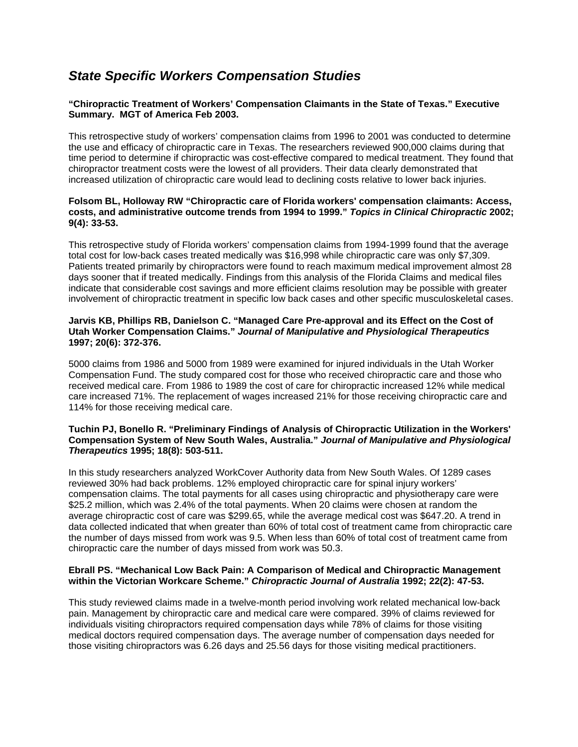# *State Specific Workers Compensation Studies*

# **"Chiropractic Treatment of Workers' Compensation Claimants in the State of Texas." Executive Summary. MGT of America Feb 2003.**

This retrospective study of workers' compensation claims from 1996 to 2001 was conducted to determine the use and efficacy of chiropractic care in Texas. The researchers reviewed 900,000 claims during that time period to determine if chiropractic was cost-effective compared to medical treatment. They found that chiropractor treatment costs were the lowest of all providers. Their data clearly demonstrated that increased utilization of chiropractic care would lead to declining costs relative to lower back injuries.

### **Folsom BL, Holloway RW "Chiropractic care of Florida workers' compensation claimants: Access, costs, and administrative outcome trends from 1994 to 1999."** *Topics in Clinical Chiropractic* **2002; 9(4): 33-53.**

This retrospective study of Florida workers' compensation claims from 1994-1999 found that the average total cost for low-back cases treated medically was \$16,998 while chiropractic care was only \$7,309. Patients treated primarily by chiropractors were found to reach maximum medical improvement almost 28 days sooner that if treated medically. Findings from this analysis of the Florida Claims and medical files indicate that considerable cost savings and more efficient claims resolution may be possible with greater involvement of chiropractic treatment in specific low back cases and other specific musculoskeletal cases.

## **Jarvis KB, Phillips RB, Danielson C. "Managed Care Pre-approval and its Effect on the Cost of Utah Worker Compensation Claims."** *Journal of Manipulative and Physiological Therapeutics*  **1997; 20(6): 372-376.**

5000 claims from 1986 and 5000 from 1989 were examined for injured individuals in the Utah Worker Compensation Fund. The study compared cost for those who received chiropractic care and those who received medical care. From 1986 to 1989 the cost of care for chiropractic increased 12% while medical care increased 71%. The replacement of wages increased 21% for those receiving chiropractic care and 114% for those receiving medical care.

## **Tuchin PJ, Bonello R. "Preliminary Findings of Analysis of Chiropractic Utilization in the Workers' Compensation System of New South Wales, Australia."** *Journal of Manipulative and Physiological Therapeutics* **1995; 18(8): 503-511.**

In this study researchers analyzed WorkCover Authority data from New South Wales. Of 1289 cases reviewed 30% had back problems. 12% employed chiropractic care for spinal injury workers' compensation claims. The total payments for all cases using chiropractic and physiotherapy care were \$25.2 million, which was 2.4% of the total payments. When 20 claims were chosen at random the average chiropractic cost of care was \$299.65, while the average medical cost was \$647.20. A trend in data collected indicated that when greater than 60% of total cost of treatment came from chiropractic care the number of days missed from work was 9.5. When less than 60% of total cost of treatment came from chiropractic care the number of days missed from work was 50.3.

# **Ebrall PS. "Mechanical Low Back Pain: A Comparison of Medical and Chiropractic Management within the Victorian Workcare Scheme."** *Chiropractic Journal of Australia* **1992; 22(2): 47-53.**

This study reviewed claims made in a twelve-month period involving work related mechanical low-back pain. Management by chiropractic care and medical care were compared. 39% of claims reviewed for individuals visiting chiropractors required compensation days while 78% of claims for those visiting medical doctors required compensation days. The average number of compensation days needed for those visiting chiropractors was 6.26 days and 25.56 days for those visiting medical practitioners.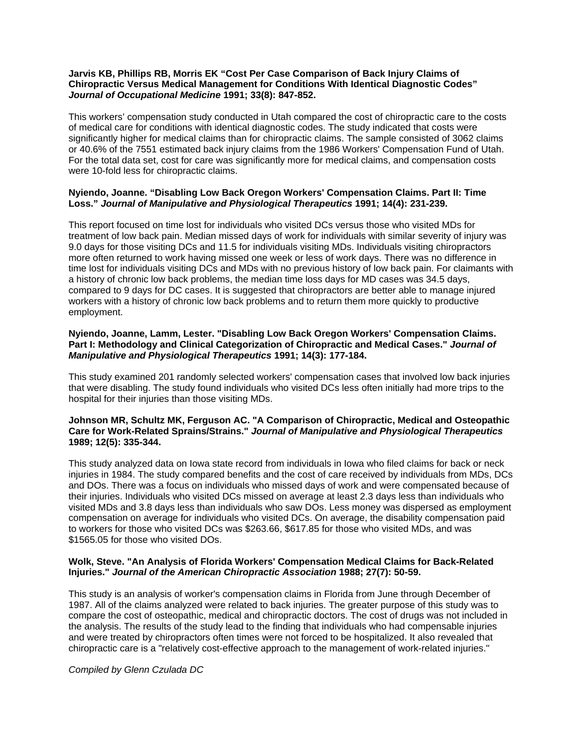### **Jarvis KB, Phillips RB, Morris EK "Cost Per Case Comparison of Back Injury Claims of Chiropractic Versus Medical Management for Conditions With Identical Diagnostic Codes"** *Journal of Occupational Medicine* **1991; 33(8): 847-852.**

This workers' compensation study conducted in Utah compared the cost of chiropractic care to the costs of medical care for conditions with identical diagnostic codes. The study indicated that costs were significantly higher for medical claims than for chiropractic claims. The sample consisted of 3062 claims or 40.6% of the 7551 estimated back injury claims from the 1986 Workers' Compensation Fund of Utah. For the total data set, cost for care was significantly more for medical claims, and compensation costs were 10-fold less for chiropractic claims.

## **Nyiendo, Joanne. "Disabling Low Back Oregon Workers' Compensation Claims. Part II: Time Loss."** *Journal of Manipulative and Physiological Therapeutics* **1991; 14(4): 231-239.**

This report focused on time lost for individuals who visited DCs versus those who visited MDs for treatment of low back pain. Median missed days of work for individuals with similar severity of injury was 9.0 days for those visiting DCs and 11.5 for individuals visiting MDs. Individuals visiting chiropractors more often returned to work having missed one week or less of work days. There was no difference in time lost for individuals visiting DCs and MDs with no previous history of low back pain. For claimants with a history of chronic low back problems, the median time loss days for MD cases was 34.5 days, compared to 9 days for DC cases. It is suggested that chiropractors are better able to manage injured workers with a history of chronic low back problems and to return them more quickly to productive employment.

### **Nyiendo, Joanne, Lamm, Lester. "Disabling Low Back Oregon Workers' Compensation Claims. Part I: Methodology and Clinical Categorization of Chiropractic and Medical Cases."** *Journal of Manipulative and Physiological Therapeutics* **1991; 14(3): 177-184.**

This study examined 201 randomly selected workers' compensation cases that involved low back injuries that were disabling. The study found individuals who visited DCs less often initially had more trips to the hospital for their injuries than those visiting MDs.

#### **Johnson MR, Schultz MK, Ferguson AC. "A Comparison of Chiropractic, Medical and Osteopathic Care for Work-Related Sprains/Strains."** *Journal of Manipulative and Physiological Therapeutics*  **1989; 12(5): 335-344.**

This study analyzed data on Iowa state record from individuals in Iowa who filed claims for back or neck injuries in 1984. The study compared benefits and the cost of care received by individuals from MDs, DCs and DOs. There was a focus on individuals who missed days of work and were compensated because of their injuries. Individuals who visited DCs missed on average at least 2.3 days less than individuals who visited MDs and 3.8 days less than individuals who saw DOs. Less money was dispersed as employment compensation on average for individuals who visited DCs. On average, the disability compensation paid to workers for those who visited DCs was \$263.66, \$617.85 for those who visited MDs, and was \$1565.05 for those who visited DOs.

# **Wolk, Steve. "An Analysis of Florida Workers' Compensation Medical Claims for Back-Related Injuries."** *Journal of the American Chiropractic Association* **1988; 27(7): 50-59.**

This study is an analysis of worker's compensation claims in Florida from June through December of 1987. All of the claims analyzed were related to back injuries. The greater purpose of this study was to compare the cost of osteopathic, medical and chiropractic doctors. The cost of drugs was not included in the analysis. The results of the study lead to the finding that individuals who had compensable injuries and were treated by chiropractors often times were not forced to be hospitalized. It also revealed that chiropractic care is a "relatively cost-effective approach to the management of work-related injuries."

*Compiled by Glenn Czulada DC*